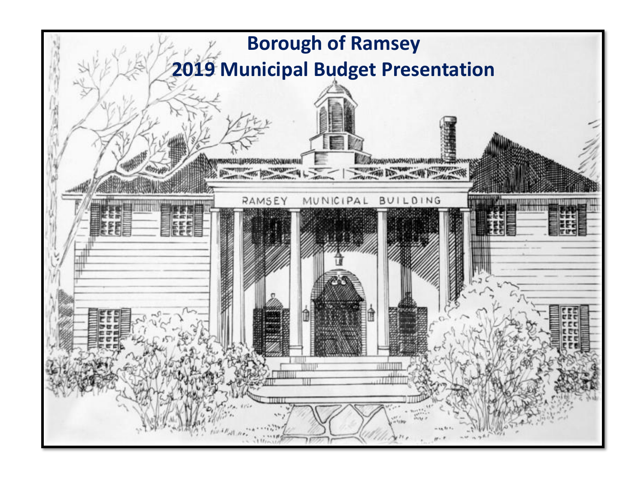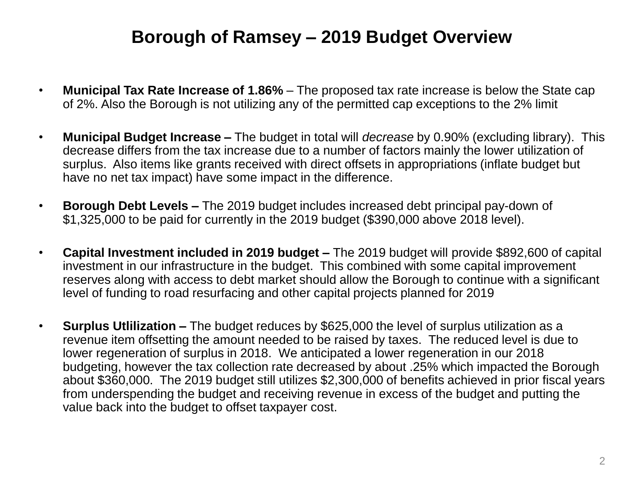## **Borough of Ramsey – 2019 Budget Overview**

- **Municipal Tax Rate Increase of 1.86%**  The proposed tax rate increase is below the State cap of 2%. Also the Borough is not utilizing any of the permitted cap exceptions to the 2% limit
- **Municipal Budget Increase –** The budget in total will *decrease* by 0.90% (excluding library). This decrease differs from the tax increase due to a number of factors mainly the lower utilization of surplus. Also items like grants received with direct offsets in appropriations (inflate budget but have no net tax impact) have some impact in the difference.
- **Borough Debt Levels –** The 2019 budget includes increased debt principal pay-down of \$1,325,000 to be paid for currently in the 2019 budget (\$390,000 above 2018 level).
- **Capital Investment included in 2019 budget –** The 2019 budget will provide \$892,600 of capital investment in our infrastructure in the budget. This combined with some capital improvement reserves along with access to debt market should allow the Borough to continue with a significant level of funding to road resurfacing and other capital projects planned for 2019
- **Surplus Utlilization –** The budget reduces by \$625,000 the level of surplus utilization as a revenue item offsetting the amount needed to be raised by taxes. The reduced level is due to lower regeneration of surplus in 2018. We anticipated a lower regeneration in our 2018 budgeting, however the tax collection rate decreased by about .25% which impacted the Borough about \$360,000. The 2019 budget still utilizes \$2,300,000 of benefits achieved in prior fiscal years from underspending the budget and receiving revenue in excess of the budget and putting the value back into the budget to offset taxpayer cost.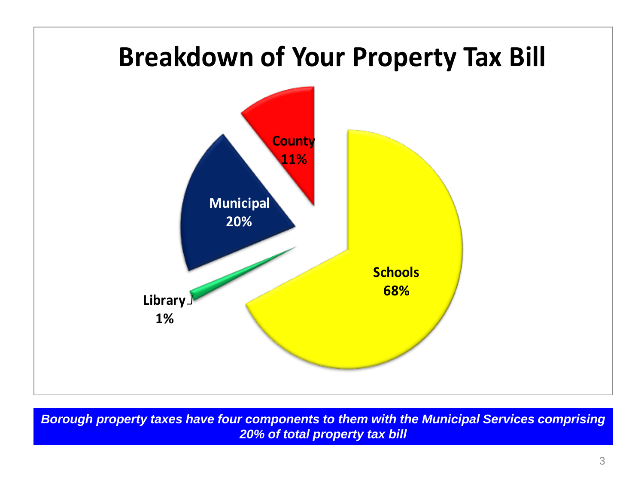

*Borough property taxes have four components to them with the Municipal Services comprising 20% of total property tax bill*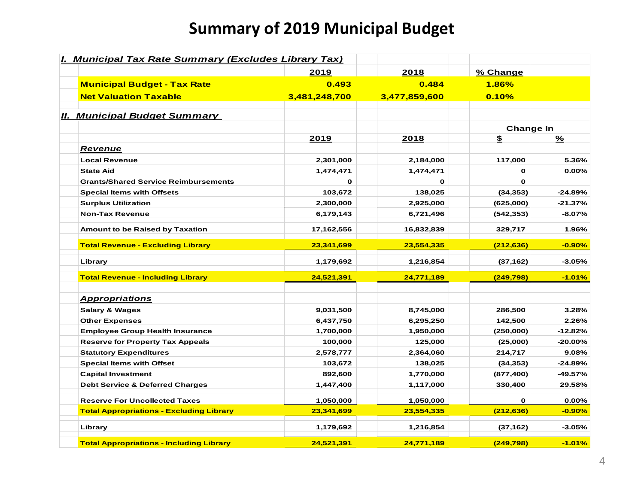# **Summary of 2019 Municipal Budget**

| I. Municipal Tax Rate Summary (Excludes Library Tax) |               |               |                  |           |
|------------------------------------------------------|---------------|---------------|------------------|-----------|
|                                                      | 2019          | 2018          | % Change         |           |
| <b>Municipal Budget - Tax Rate</b>                   | 0.493         | 0.484         | 1.86%            |           |
| <b>Net Valuation Taxable</b>                         | 3,481,248,700 | 3,477,859,600 | 0.10%            |           |
| <b>II. Municipal Budget Summary</b>                  |               |               |                  |           |
|                                                      |               |               | <b>Change In</b> |           |
|                                                      | 2019          | 2018          | \$               | ℅         |
| <u>Revenue</u>                                       |               |               |                  |           |
| <b>Local Revenue</b>                                 | 2,301,000     | 2,184,000     | 117,000          | 5.36%     |
| <b>State Aid</b>                                     | 1,474,471     | 1,474,471     | 0                | $0.00\%$  |
| <b>Grants/Shared Service Reimbursements</b>          | $\mathbf 0$   | $\mathbf{o}$  | 0                |           |
| <b>Special Items with Offsets</b>                    | 103,672       | 138,025       | (34, 353)        | -24.89%   |
| <b>Surplus Utilization</b>                           | 2,300,000     | 2,925,000     | (625,000)        | $-21.37%$ |
| <b>Non-Tax Revenue</b>                               | 6,179,143     | 6,721,496     | (542,353)        | $-8.07%$  |
| Amount to be Raised by Taxation                      | 17,162,556    | 16,832,839    | 329,717          | 1.96%     |
| <b>Total Revenue - Excluding Library</b>             | 23,341,699    | 23,554,335    | (212, 636)       | $-0.90%$  |
| Library                                              | 1,179,692     | 1,216,854     | (37, 162)        | $-3.05%$  |
| <b>Total Revenue - Including Library</b>             | 24,521,391    | 24,771,189    | (249, 798)       | $-1.01%$  |
| <b>Appropriations</b>                                |               |               |                  |           |
| <b>Salary &amp; Wages</b>                            | 9,031,500     | 8,745,000     | 286,500          | 3.28%     |
| <b>Other Expenses</b>                                | 6,437,750     | 6,295,250     | 142,500          | 2.26%     |
| <b>Employee Group Health Insurance</b>               | 1,700,000     | 1,950,000     | (250,000)        | $-12.82%$ |
| <b>Reserve for Property Tax Appeals</b>              | 100,000       | 125,000       | (25,000)         | -20.00%   |
| <b>Statutory Expenditures</b>                        | 2,578,777     | 2,364,060     | 214,717          | 9.08%     |
| <b>Special Items with Offset</b>                     | 103,672       | 138,025       | (34, 353)        | $-24.89%$ |
| <b>Capital Investment</b>                            | 892,600       | 1,770,000     | (877, 400)       | -49.57%   |
| <b>Debt Service &amp; Deferred Charges</b>           | 1,447,400     | 1,117,000     | 330,400          | 29.58%    |
| <b>Reserve For Uncollected Taxes</b>                 | 1,050,000     | 1,050,000     | $\mathbf{o}$     | $0.00\%$  |
| <b>Total Appropriations - Excluding Library</b>      | 23,341,699    | 23,554,335    | (212, 636)       | $-0.90%$  |
| Library                                              | 1,179,692     | 1,216,854     | (37, 162)        | $-3.05%$  |
| <b>Total Appropriations - Including Library</b>      | 24,521,391    | 24,771,189    | (249, 798)       | $-1.01%$  |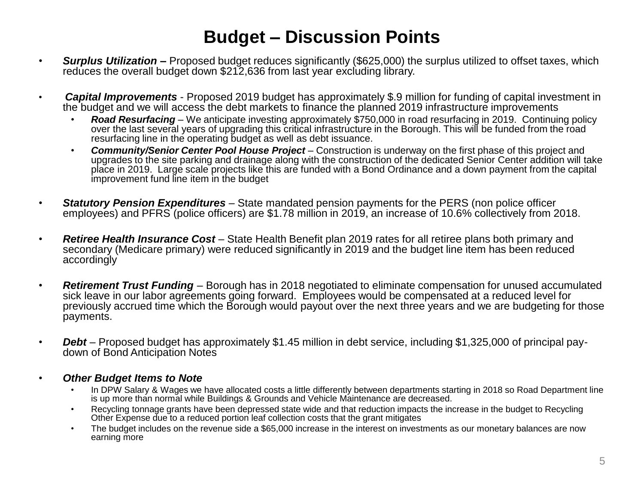## **Budget – Discussion Points**

- *Surplus Utilization –* Proposed budget reduces significantly (\$625,000) the surplus utilized to offset taxes, which reduces the overall budget down \$212,636 from last year excluding library.
- *Capital Improvements*  Proposed 2019 budget has approximately \$.9 million for funding of capital investment in the budget and we will access the debt markets to finance the planned 2019 infrastructure improvements
	- *Road Resurfacing*  We anticipate investing approximately \$750,000 in road resurfacing in 2019. Continuing policy over the last several years of upgrading this critical infrastructure in the Borough. This will be funded from the road resurfacing line in the operating budget as well as debt issuance.
	- **Community/Senior Center Pool House Project** Construction is underway on the first phase of this project and upgrades to the site parking and drainage along with the construction of the dedicated Senior Center addition will take place in 2019. Large scale projects like this are funded with a Bond Ordinance and a down payment from the capital improvement fund line item in the budget
- *Statutory Pension Expenditures*  State mandated pension payments for the PERS (non police officer employees) and PFRS (police officers) are \$1.78 million in 2019, an increase of 10.6% collectively from 2018.
- *Retiree Health Insurance Cost*  State Health Benefit plan 2019 rates for all retiree plans both primary and secondary (Medicare primary) were reduced significantly in 2019 and the budget line item has been reduced accordingly
- *Retirement Trust Funding*  Borough has in 2018 negotiated to eliminate compensation for unused accumulated sick leave in our labor agreements going forward. Employees would be compensated at a reduced level for previously accrued time which the Borough would payout over the next three years and we are budgeting for those payments.
- *Debt* Proposed budget has approximately \$1.45 million in debt service, including \$1,325,000 of principal paydown of Bond Anticipation Notes
- *Other Budget Items to Note* 
	- In DPW Salary & Wages we have allocated costs a little differently between departments starting in 2018 so Road Department line is up more than normal while Buildings & Grounds and Vehicle Maintenance are decreased.
	- Recycling tonnage grants have been depressed state wide and that reduction impacts the increase in the budget to Recycling Other Expense due to a reduced portion leaf collection costs that the grant mitigates
	- The budget includes on the revenue side a \$65,000 increase in the interest on investments as our monetary balances are now earning more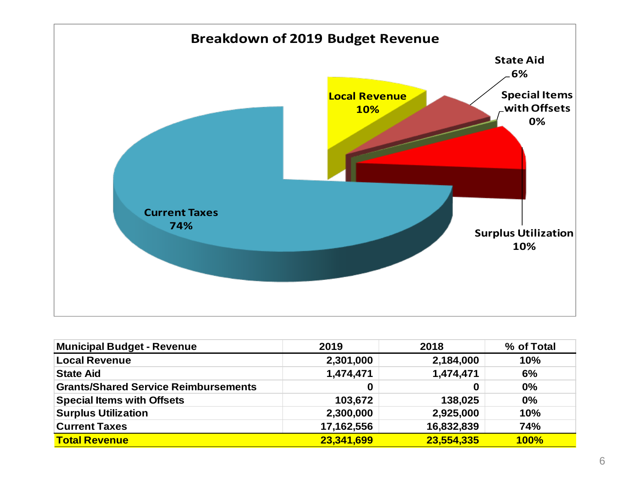

| <b>Municipal Budget - Revenue</b>           | 2019       | 2018       | % of Total  |
|---------------------------------------------|------------|------------|-------------|
| <b>Local Revenue</b>                        | 2,301,000  | 2,184,000  | 10%         |
| <b>State Aid</b>                            | 1,474,471  | 1,474,471  | 6%          |
| <b>Grants/Shared Service Reimbursements</b> |            | 0          | 0%          |
| <b>Special Items with Offsets</b>           | 103,672    | 138,025    | 0%          |
| <b>Surplus Utilization</b>                  | 2,300,000  | 2,925,000  | 10%         |
| <b>Current Taxes</b>                        | 17,162,556 | 16,832,839 | 74%         |
| <b>Total Revenue</b>                        | 23,341,699 | 23,554,335 | <b>100%</b> |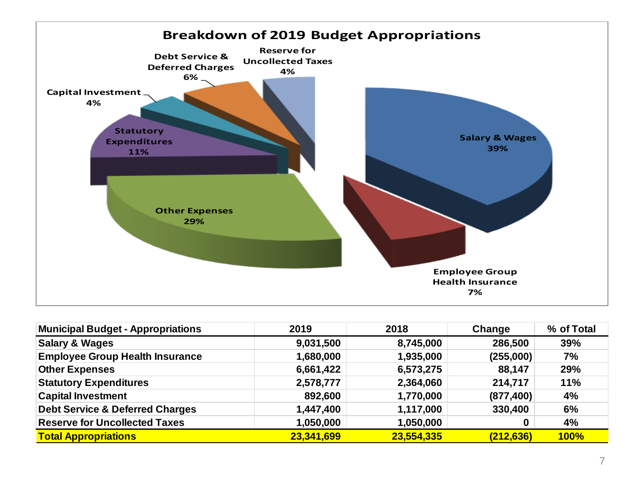

| <b>Municipal Budget - Appropriations</b>   | 2019       | 2018       | Change     | % of Total  |
|--------------------------------------------|------------|------------|------------|-------------|
| <b>Salary &amp; Wages</b>                  | 9,031,500  | 8,745,000  | 286,500    | 39%         |
| <b>Employee Group Health Insurance</b>     | 1,680,000  | 1,935,000  | (255,000)  | 7%          |
| <b>Other Expenses</b>                      | 6,661,422  | 6,573,275  | 88,147     | 29%         |
| <b>Statutory Expenditures</b>              | 2,578,777  | 2,364,060  | 214,717    | <b>11%</b>  |
| <b>Capital Investment</b>                  | 892,600    | 1,770,000  | (877, 400) | 4%          |
| <b>Debt Service &amp; Deferred Charges</b> | 1,447,400  | 1,117,000  | 330,400    | 6%          |
| <b>Reserve for Uncollected Taxes</b>       | 1,050,000  | 1,050,000  | 0          | 4%          |
| <b>Total Appropriations</b>                | 23,341,699 | 23,554,335 | (212, 636) | <b>100%</b> |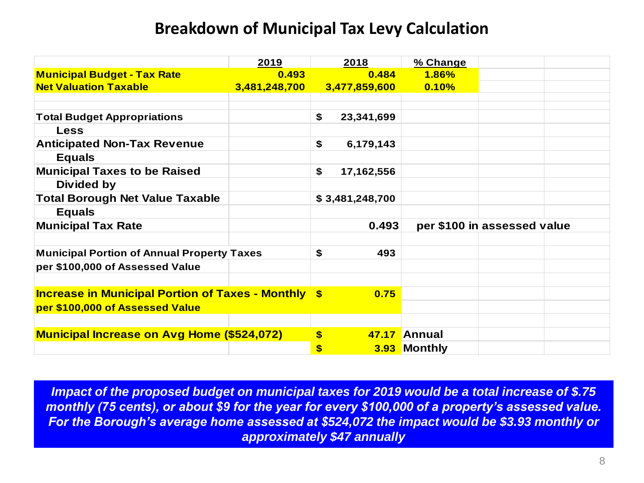### **Breakdown of Municipal Tax Levy Calculation**

|                                                            | 2019          | 2018             | % Change                    |  |  |
|------------------------------------------------------------|---------------|------------------|-----------------------------|--|--|
| <b>Municipal Budget - Tax Rate</b>                         | 0.493         | 0.484            | <b>1.86%</b>                |  |  |
| <b>Net Valuation Taxable</b>                               | 3,481,248,700 | 3,477,859,600    | 0.10%                       |  |  |
|                                                            |               |                  |                             |  |  |
| <b>Total Budget Appropriations</b>                         |               | \$<br>23,341,699 |                             |  |  |
| <b>Less</b>                                                |               |                  |                             |  |  |
| <b>Anticipated Non-Tax Revenue</b>                         |               | \$<br>6,179,143  |                             |  |  |
| <b>Equals</b>                                              |               |                  |                             |  |  |
| <b>Municipal Taxes to be Raised</b>                        |               | \$<br>17,162,556 |                             |  |  |
| Divided by                                                 |               |                  |                             |  |  |
| <b>Total Borough Net Value Taxable</b>                     |               | \$3,481,248,700  |                             |  |  |
| <b>Equals</b>                                              |               |                  |                             |  |  |
| <b>Municipal Tax Rate</b>                                  |               | 0.493            | per \$100 in assessed value |  |  |
|                                                            |               |                  |                             |  |  |
| <b>Municipal Portion of Annual Property Taxes</b>          |               | \$<br>493        |                             |  |  |
| per \$100,000 of Assessed Value                            |               |                  |                             |  |  |
|                                                            |               |                  |                             |  |  |
| <b>Increase in Municipal Portion of Taxes - Monthly \$</b> |               | 0.75             |                             |  |  |
| per \$100,000 of Assessed Value                            |               |                  |                             |  |  |
|                                                            |               |                  |                             |  |  |
| <b>Municipal Increase on Avg Home (\$524,072)</b>          |               | \$               | 47.17 Annual                |  |  |
|                                                            |               | \$               | 3.93 Monthly                |  |  |

*Impact of the proposed budget on municipal taxes for 2019 would be a total increase of \$.75 monthly (75 cents), or about \$9 for the year for every \$100,000 of a property's assessed value. For the Borough's average home assessed at \$524,072 the impact would be \$3.93 monthly or approximately \$47 annually*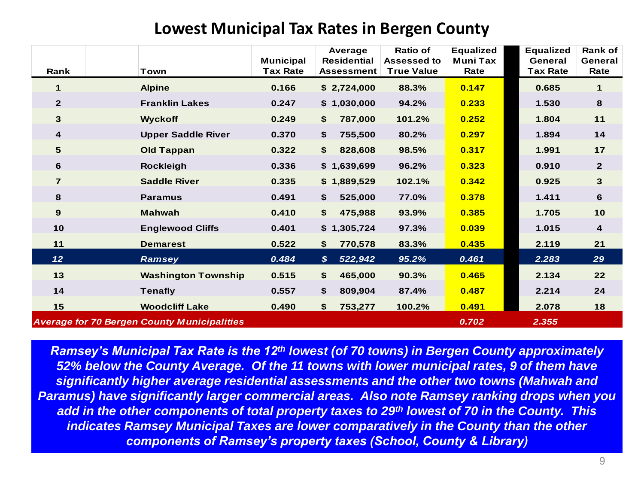### **Lowest Municipal Tax Rates in Bergen County**

| Lowest Municipal Tax Rates in Bergen County |                                                    |                                     |                                                    |                                                            |                                             |                                                |                                   |  |  |
|---------------------------------------------|----------------------------------------------------|-------------------------------------|----------------------------------------------------|------------------------------------------------------------|---------------------------------------------|------------------------------------------------|-----------------------------------|--|--|
| Rank                                        | Town                                               | <b>Municipal</b><br><b>Tax Rate</b> | Average<br><b>Residential</b><br><b>Assessment</b> | <b>Ratio of</b><br><b>Assessed to</b><br><b>True Value</b> | <b>Equalized</b><br><b>Muni Tax</b><br>Rate | <b>Equalized</b><br>General<br><b>Tax Rate</b> | <b>Rank of</b><br>General<br>Rate |  |  |
| $\mathbf{1}$                                | <b>Alpine</b>                                      | 0.166                               | \$2,724,000                                        | 88.3%                                                      | 0.147                                       | 0.685                                          | $\mathbf 1$                       |  |  |
| $\overline{2}$                              | <b>Franklin Lakes</b>                              | 0.247                               | \$1,030,000                                        | 94.2%                                                      | 0.233                                       | 1.530                                          | 8                                 |  |  |
| 3                                           | <b>Wyckoff</b>                                     | 0.249                               | 787,000<br>\$                                      | 101.2%                                                     | 0.252                                       | 1.804                                          | 11                                |  |  |
| 4                                           | <b>Upper Saddle River</b>                          | 0.370                               | 755,500<br>\$                                      | 80.2%                                                      | 0.297                                       | 1.894                                          | 14                                |  |  |
| $5\phantom{1}$                              | <b>Old Tappan</b>                                  | 0.322                               | \$<br>828,608                                      | 98.5%                                                      | 0.317                                       | 1.991                                          | 17                                |  |  |
| 6                                           | <b>Rockleigh</b>                                   | 0.336                               | \$1,639,699                                        | 96.2%                                                      | 0.323                                       | 0.910                                          | $\mathbf{2}$                      |  |  |
| $\overline{7}$                              | <b>Saddle River</b>                                | 0.335                               | \$1,889,529                                        | 102.1%                                                     | 0.342                                       | 0.925                                          | 3                                 |  |  |
| 8                                           | <b>Paramus</b>                                     | 0.491                               | 525,000<br>\$                                      | 77.0%                                                      | 0.378                                       | 1.411                                          | 6                                 |  |  |
| 9                                           | <b>Mahwah</b>                                      | 0.410                               | \$<br>475,988                                      | 93.9%                                                      | 0.385                                       | 1.705                                          | 10                                |  |  |
| 10                                          | <b>Englewood Cliffs</b>                            | 0.401                               | \$1,305,724                                        | 97.3%                                                      | 0.039                                       | 1.015                                          | 4                                 |  |  |
| $11$                                        | <b>Demarest</b>                                    | 0.522                               | 770,578<br>\$                                      | 83.3%                                                      | 0.435                                       | 2.119                                          | 21                                |  |  |
| 12 <sub>2</sub>                             | Ramsey                                             | 0.484                               | $\boldsymbol{\mathcal{S}}$<br>522,942              | 95.2%                                                      | 0.461                                       | 2.283                                          | 29                                |  |  |
| 13                                          | <b>Washington Township</b>                         | 0.515                               | 465,000<br>\$                                      | 90.3%                                                      | 0.465                                       | 2.134                                          | 22                                |  |  |
| 14                                          | <b>Tenafly</b>                                     | 0.557                               | \$<br>809,904                                      | 87.4%                                                      | 0.487                                       | 2.214                                          | 24                                |  |  |
| 15                                          | <b>Woodcliff Lake</b>                              | 0.490                               | \$<br>753,277                                      | 100.2%                                                     | 0.491                                       | 2.078                                          | 18                                |  |  |
|                                             | <b>Average for 70 Bergen County Municipalities</b> |                                     |                                                    |                                                            | 0.702                                       | 2.355                                          |                                   |  |  |

*Ramsey's Municipal Tax Rate is the 12th lowest (of 70 towns) in Bergen County approximately 52% below the County Average. Of the 11 towns with lower municipal rates, 9 of them have significantly higher average residential assessments and the other two towns (Mahwah and Paramus) have significantly larger commercial areas. Also note Ramsey ranking drops when you add in the other components of total property taxes to 29th lowest of 70 in the County. This indicates Ramsey Municipal Taxes are lower comparatively in the County than the other components of Ramsey's property taxes (School, County & Library)*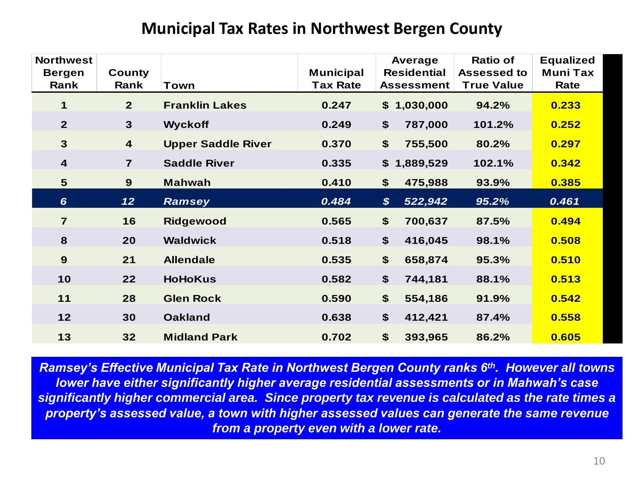#### **Municipal Tax Rates in Northwest Bergen County**

| <b>Northwest</b><br><b>Bergen</b><br>Rank | <b>County</b><br>Rank   | Town                      | <b>Municipal</b><br><b>Tax Rate</b> | Average<br><b>Residential</b><br><b>Assessment</b> | <b>Ratio of</b><br><b>Assessed to</b><br><b>True Value</b> | <b>Equalized</b><br><b>Muni Tax</b><br>Rate |
|-------------------------------------------|-------------------------|---------------------------|-------------------------------------|----------------------------------------------------|------------------------------------------------------------|---------------------------------------------|
| 1                                         | $\overline{2}$          | <b>Franklin Lakes</b>     | 0.247                               | \$1,030,000                                        | 94.2%                                                      | 0.233                                       |
| $\overline{2}$                            | $\mathbf{3}$            | <b>Wyckoff</b>            | 0.249                               | \$<br>787,000                                      | 101.2%                                                     | 0.252                                       |
| $\mathbf{3}$                              | $\overline{\mathbf{4}}$ | <b>Upper Saddle River</b> | 0.370                               | \$<br>755,500                                      | 80.2%                                                      | 0.297                                       |
| $\overline{\mathbf{4}}$                   | $\overline{7}$          | <b>Saddle River</b>       | 0.335                               | \$<br>1,889,529                                    | 102.1%                                                     | 0.342                                       |
| $5\phantom{1}$                            | 9                       | <b>Mahwah</b>             | 0.410                               | \$<br>475,988                                      | 93.9%                                                      | 0.385                                       |
| $6\phantom{1}6$                           | 12                      | <b>Ramsey</b>             | 0.484                               | $\boldsymbol{\mathcal{S}}$<br>522,942              | 95.2%                                                      | 0.461                                       |
| $\overline{7}$                            | 16                      | <b>Ridgewood</b>          | 0.565                               | \$<br>700,637                                      | 87.5%                                                      | 0.494                                       |
| 8                                         | 20                      | <b>Waldwick</b>           | 0.518                               | \$<br>416,045                                      | 98.1%                                                      | 0.508                                       |
| 9                                         | 21                      | <b>Allendale</b>          | 0.535                               | \$<br>658,874                                      | 95.3%                                                      | 0.510                                       |
| 10                                        | 22                      | <b>HoHoKus</b>            | 0.582                               | \$<br>744,181                                      | 88.1%                                                      | 0.513                                       |
| 11                                        | 28                      | <b>Glen Rock</b>          | 0.590                               | \$<br>554,186                                      | 91.9%                                                      | 0.542                                       |
| 12                                        | 30                      | <b>Oakland</b>            | 0.638                               | \$<br>412,421                                      | 87.4%                                                      | 0.558                                       |
| 13                                        | 32                      | <b>Midland Park</b>       | 0.702                               | \$<br>393,965                                      | 86.2%                                                      | 0.605                                       |

*Ramsey's Effective Municipal Tax Rate in Northwest Bergen County ranks 6th. However all towns lower have either significantly higher average residential assessments or in Mahwah's case significantly higher commercial area. Since property tax revenue is calculated as the rate times a property's assessed value, a town with higher assessed values can generate the same revenue from a property even with a lower rate.*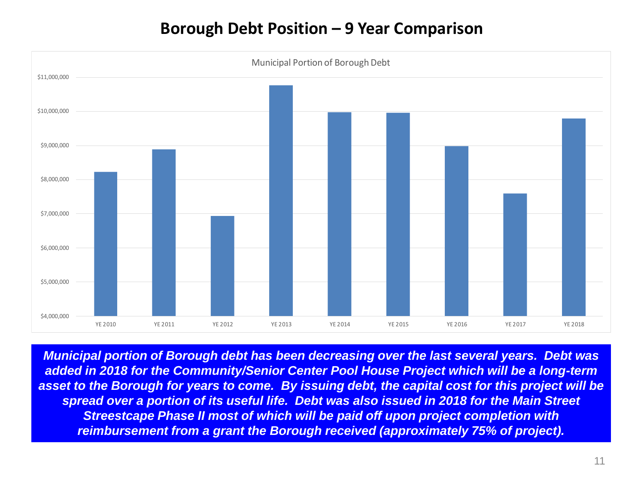### **Borough Debt Position – 9 Year Comparison**



*Municipal portion of Borough debt has been decreasing over the last several years. Debt was added in 2018 for the Community/Senior Center Pool House Project which will be a long-term asset to the Borough for years to come. By issuing debt, the capital cost for this project will be spread over a portion of its useful life. Debt was also issued in 2018 for the Main Street Streestcape Phase II most of which will be paid off upon project completion with reimbursement from a grant the Borough received (approximately 75% of project).*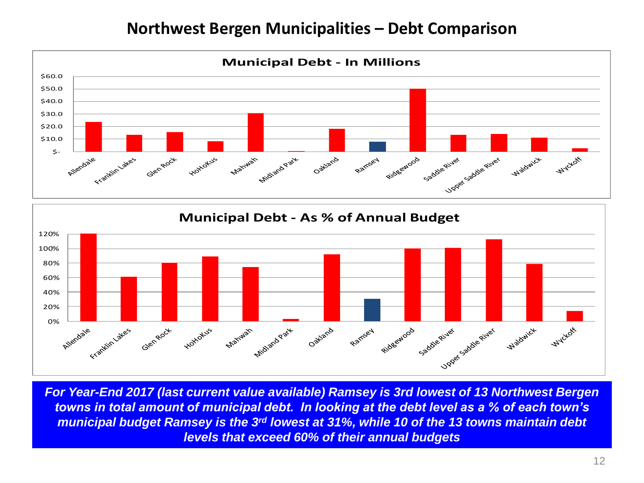### **Northwest Bergen Municipalities – Debt Comparison**





*For Year-End 2017 (last current value available) Ramsey is 3rd lowest of 13 Northwest Bergen towns in total amount of municipal debt. In looking at the debt level as a % of each town's municipal budget Ramsey is the 3rd lowest at 31%, while 10 of the 13 towns maintain debt levels that exceed 60% of their annual budgets*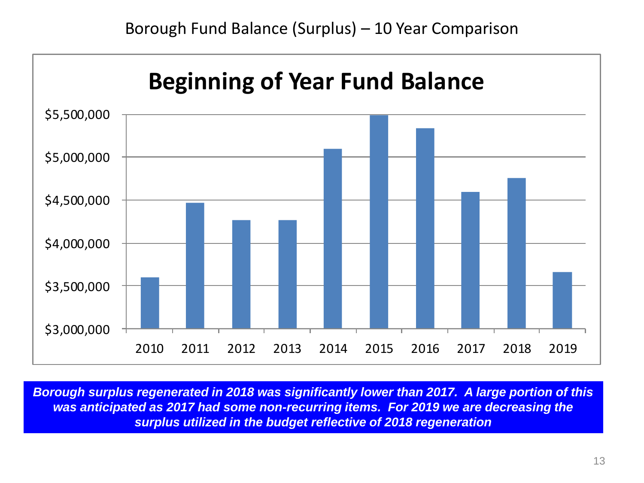Borough Fund Balance (Surplus) – 10 Year Comparison



*Borough surplus regenerated in 2018 was significantly lower than 2017. A large portion of this was anticipated as 2017 had some non-recurring items. For 2019 we are decreasing the surplus utilized in the budget reflective of 2018 regeneration*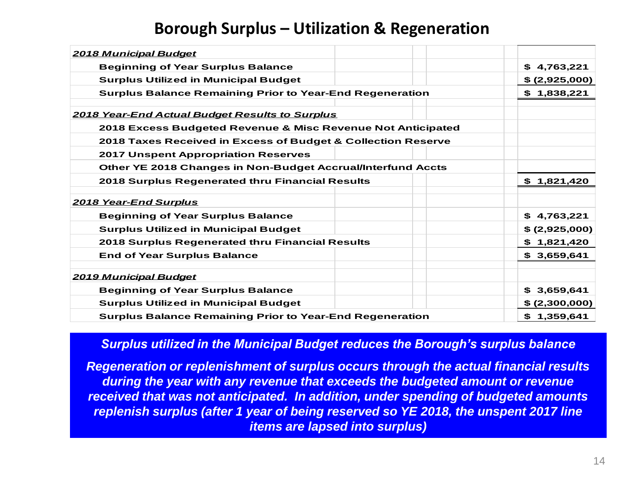### **Borough Surplus – Utilization & Regeneration**

| \$4,763,221                                                        |
|--------------------------------------------------------------------|
| \$ (2,925,000)                                                     |
| \$1,838,221                                                        |
|                                                                    |
| 2018 Excess Budgeted Revenue & Misc Revenue Not Anticipated        |
| 2018 Taxes Received in Excess of Budget & Collection Reserve       |
|                                                                    |
| <b>Other YE 2018 Changes in Non-Budget Accrual/Interfund Accts</b> |
| \$1,821,420                                                        |
|                                                                    |
| \$4,763,221                                                        |
| \$(2,925,000)                                                      |
| \$1,821,420                                                        |
| \$3,659,641                                                        |
|                                                                    |
| \$3,659,641                                                        |
| \$ (2,300,000)                                                     |
| \$1,359,641                                                        |
|                                                                    |

#### *Surplus utilized in the Municipal Budget reduces the Borough's surplus balance*

*Regeneration or replenishment of surplus occurs through the actual financial results during the year with any revenue that exceeds the budgeted amount or revenue received that was not anticipated. In addition, under spending of budgeted amounts replenish surplus (after 1 year of being reserved so YE 2018, the unspent 2017 line items are lapsed into surplus)*